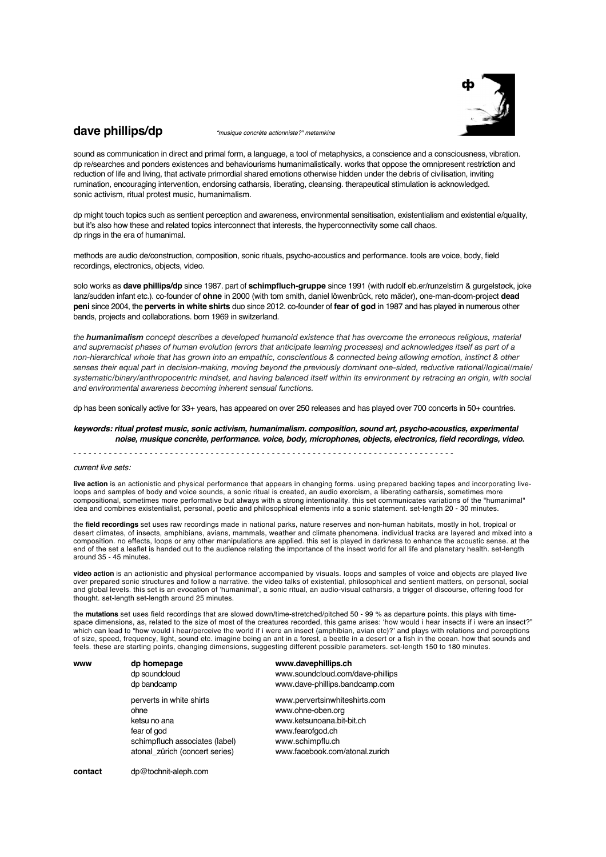

## **dave phillips/dp** *"musique concrète actionniste?" metamkine*

sound as communication in direct and primal form, a language, a tool of metaphysics, a conscience and a consciousness, vibration. dp re/searches and ponders existences and behaviourisms humanimalistically. works that oppose the omnipresent restriction and reduction of life and living, that activate primordial shared emotions otherwise hidden under the debris of civilisation, inviting rumination, encouraging intervention, endorsing catharsis, liberating, cleansing. therapeutical stimulation is acknowledged. sonic activism, ritual protest music, humanimalism.

dp might touch topics such as sentient perception and awareness, environmental sensitisation, existentialism and existential e/quality, but it's also how these and related topics interconnect that interests, the hyperconnectivity some call chaos. dp rings in the era of humanimal.

methods are audio de/construction, composition, sonic rituals, psycho-acoustics and performance. tools are voice, body, field recordings, electronics, objects, video.

solo works as **dave phillips/dp** since 1987. part of **schimpfluch-gruppe** since 1991 (with rudolf eb.er/runzelstirn & gurgelstøck, joke lanz/sudden infant etc.). co-founder of **ohne** in 2000 (with tom smith, daniel löwenbrück, reto mäder), one-man-doom-project **dead peni** since 2004, the **perverts in white shirts** duo since 2012. co-founder of **fear of god** in 1987 and has played in numerous other bands, projects and collaborations. born 1969 in switzerland.

*the humanimalism concept describes a developed humanoid existence that has overcome the erroneous religious, material and supremacist phases of human evolution (errors that anticipate learning processes) and acknowledges itself as part of a non-hierarchical whole that has grown into an empathic, conscientious & connected being allowing emotion, instinct & other senses their equal part in decision-making, moving beyond the previously dominant one-sided, reductive rational/logical/male/ systematic/binary/anthropocentric mindset, and having balanced itself within its environment by retracing an origin, with social and environmental awareness becoming inherent sensual functions.*

dp has been sonically active for 33+ years, has appeared on over 250 releases and has played over 700 concerts in 50+ countries.

*keywords: ritual protest music, sonic activism, humanimalism. composition, sound art, psycho-acoustics, experimental noise, musique concrète, performance. voice, body, microphones, objects, electronics, field recordings, video.*

- - - - - - - - - - - - - - - - - - - - - - - - - - - - - - - - - - - - - - - - - - - - - - - - - - - - - - - - - - - - - - - - - - - - - - - - - - -

## *current live sets:*

**live action** is an actionistic and physical performance that appears in changing forms. using prepared backing tapes and incorporating liveloops and samples of body and voice sounds, a sonic ritual is created, an audio exorcism, a liberating catharsis, sometimes more compositional, sometimes more performative but always with a strong intentionality. this set communicates variations of the "humanimal" idea and combines existentialist, personal, poetic and philosophical elements into a sonic statement. set-length 20 - 30 minutes.

the **field recordings** set uses raw recordings made in national parks, nature reserves and non-human habitats, mostly in hot, tropical or desert climates, of insects, amphibians, avians, mammals, weather and climate phenomena. individual tracks are layered and mixed into a composition. no effects, loops or any other manipulations are applied. this set is played in darkness to enhance the acoustic sense. at the end of the set a leaflet is handed out to the audience relating the importance of the insect world for all life and planetary health. set-length around 35 - 45 minutes.

**video action** is an actionistic and physical performance accompanied by visuals. loops and samples of voice and objects are played live over prepared sonic structures and follow a narrative. the video talks of existential, philosophical and sentient matters, on personal, social and global levels. this set is an evocation of 'humanimal', a sonic ritual, an audio-visual catharsis, a trigger of discourse, offering food for thought. set-length set-length around 25 minutes.

the **mutations** set uses field recordings that are slowed down/time-stretched/pitched 50 - 99 % as departure points. this plays with timespace dimensions, as, related to the size of most of the creatures recorded, this game arises: 'how would i hear insects if i were an insect?" which can lead to "how would i hear/perceive the world if i were an insect (amphibian, avian etc)?' and plays with relations and perceptions of size, speed, frequency, light, sound etc. imagine being an ant in a forest, a beetle in a desert or a fish in the ocean. how that sounds and feels. these are starting points, changing dimensions, suggesting different possible parameters. set-length 150 to 180 minutes.

| www | dp homepage<br>dp soundcloud                                                                                                        | www.davephillips.ch<br>www.soundcloud.com/dave-phillips                                                                                                   |  |  |  |
|-----|-------------------------------------------------------------------------------------------------------------------------------------|-----------------------------------------------------------------------------------------------------------------------------------------------------------|--|--|--|
|     | dp bandcamp                                                                                                                         | www.dave-phillips.bandcamp.com                                                                                                                            |  |  |  |
|     | perverts in white shirts<br>ohne<br>ketsu no ana<br>fear of god<br>schimpfluch associates (label)<br>atonal zürich (concert series) | www.pervertsinwhiteshirts.com<br>www.ohne-oben.org<br>www.ketsunoana.bit-bit.ch<br>www.fearofgod.ch<br>www.schimpflu.ch<br>www.facebook.com/atonal.zurich |  |  |  |

**contact** dp@tochnit-aleph.com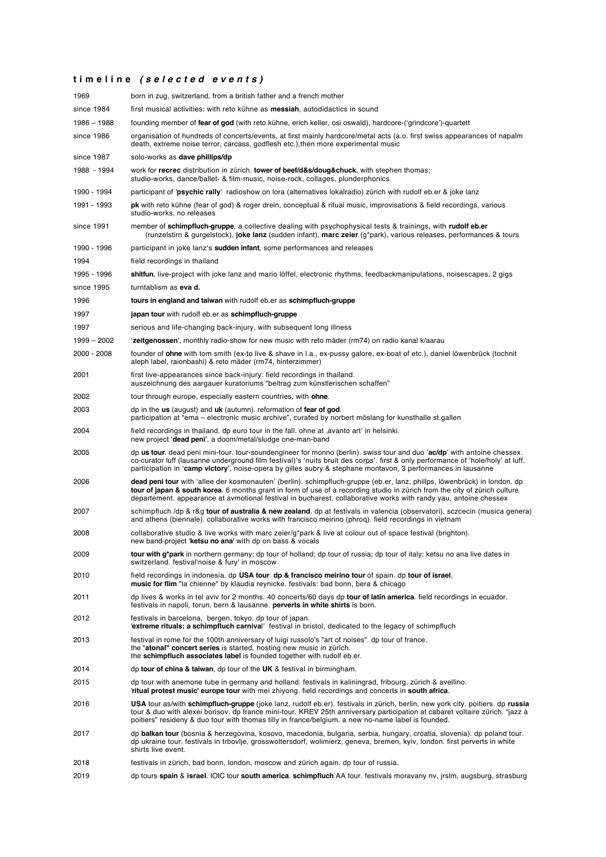## **t i m e l i n e** *( s e l e c t e d e v e n t s )*

| 1969        | born in zug, switzerland, from a british father and a french mother                                                                                                                                                                                                                                                                                                          |  |  |  |
|-------------|------------------------------------------------------------------------------------------------------------------------------------------------------------------------------------------------------------------------------------------------------------------------------------------------------------------------------------------------------------------------------|--|--|--|
| since 1984  | first musical activities: with reto kühne as <b>messiah</b> , autodidactics in sound                                                                                                                                                                                                                                                                                         |  |  |  |
| 1986 - 1988 | founding member of fear of god (with reto kühne, erich keller, osi oswald), hardcore-('grindcore')-quartett                                                                                                                                                                                                                                                                  |  |  |  |
| since 1986  | organisation of hundreds of concerts/events, at first mainly hardcore/metal acts (a.o. first swiss appearances of napalm<br>death, extreme noise terror, carcass, godflesh etc.), then more experimental music                                                                                                                                                               |  |  |  |
| since 1987  | solo-works as dave phillips/dp                                                                                                                                                                                                                                                                                                                                               |  |  |  |
| 1988 - 1994 | work for recrec distribution in zürich. tower of beef/d&s/doug&chuck, with stephen thomas;<br>studio-works, dance/ballet- & film-music, noise-rock, collages, plunderphonics                                                                                                                                                                                                 |  |  |  |
| 1990 - 1994 | participant of 'psychic rally' radioshow on lora (alternatives lokalradio) zürich with rudolf eb.er & joke lanz                                                                                                                                                                                                                                                              |  |  |  |
| 1991 - 1993 | pk with reto kühne (fear of god) & roger drein, conceptual & ritual music, improvisations & field recordings, various<br>studio-works, no releases                                                                                                                                                                                                                           |  |  |  |
| since 1991  | member of schimpfluch-gruppe, a collective dealing with psychophysical tests & trainings, with rudolf eb.er<br>(runzelstirn & gurgelstock), joke lanz (sudden infant), marc zeier (g*park), various releases, performances & tours                                                                                                                                           |  |  |  |
| 1990 - 1996 | participant in joke lanz's <b>sudden infant</b> , some performances and releases                                                                                                                                                                                                                                                                                             |  |  |  |
| 1994        | field recordings in thailand                                                                                                                                                                                                                                                                                                                                                 |  |  |  |
| 1995 - 1996 | shitfun, live-project with joke lanz and mario löffel, electronic rhythms, feedbackmanipulations, noisescapes, 2 gigs                                                                                                                                                                                                                                                        |  |  |  |
| since 1995  | turntablism as eva d.                                                                                                                                                                                                                                                                                                                                                        |  |  |  |
| 1996        | tours in england and taiwan with rudolf eb.er as schimpfluch-gruppe                                                                                                                                                                                                                                                                                                          |  |  |  |
| 1997        | japan tour with rudolf eb.er as schimpfluch-gruppe                                                                                                                                                                                                                                                                                                                           |  |  |  |
| 1997        | serious and life-changing back-injury, with subsequent long illness                                                                                                                                                                                                                                                                                                          |  |  |  |
| 1999 - 2002 | 'zeitgenossen', monthly radio-show for new music with reto mäder (rm74) on radio kanal k/aarau                                                                                                                                                                                                                                                                               |  |  |  |
| 2000 - 2008 | founder of ohne with tom smith (ex-to live & shave in l.a., ex-pussy galore, ex-boat of etc.), daniel löwenbrück (tochnit<br>aleph label, raionbashi) & reto mäder (rm74, hinterzimmer)                                                                                                                                                                                      |  |  |  |
| 2001        | first live-appearances since back-injury. field recordings in thailand.<br>auszeichnung des aargauer kuratoriums "beitrag zum künstlerischen schaffen"                                                                                                                                                                                                                       |  |  |  |
| 2002        | tour through europe, especially eastern countries, with ohne.                                                                                                                                                                                                                                                                                                                |  |  |  |
| 2003        | dp in the us (august) and uk (autumn). reformation of fear of god.<br>participation at "ema – electronic music archive", curated by norbert möslang for kunsthalle st.gallen                                                                                                                                                                                                 |  |  |  |
| 2004        | field recordings in thailand, dp euro tour in the fall, ohne at , avanto art' in helsinki.<br>new project 'dead peni', a doom/metal/sludge one-man-band                                                                                                                                                                                                                      |  |  |  |
| 2005        | dp us tour, dead peni mini-tour, tour-soundengineer for monno (berlin), swiss tour and duo 'ac/dp' with antoine chessex.<br>co-curator luff (lausanne underground film festival)'s 'nuits bruit des corps'. first & only performance of 'hole/holy' at luff.<br>participation in 'camp victory', noise-opera by gilles aubry & stephane montavon, 3 performances in lausanne |  |  |  |
| 2006        | dead peni tour with 'allee der kosmonauten' (berlin). schimpfluch-gruppe (eb.er, lanz, phillps, löwenbrück) in london. dp<br>tour of japan & south korea. 6 months grant in form of use of a recording studio in zürich from the city of zürich culture<br>departement. appearance at avmotional festival in bucharest. collaborative works with randy yau, antoine chessex  |  |  |  |
| 2007        | schimpfluch /dp & r&g tour of australia & new zealand. dp at festivals in valencia (observatori), sczcecin (musica genera)<br>and athens (biennale). collaborative works with francisco meirino (phroq). field recordings in vietnam                                                                                                                                         |  |  |  |
| 2008        | collaborative studio & live works with marc zeier/g*park & live at colour out of space festival (brighton).<br>new band-project 'ketsu no ana' with dp on bass & vocals                                                                                                                                                                                                      |  |  |  |
| 2009        | tour with g*park in northern germany; dp tour of holland; dp tour of russia; dp tour of italy; ketsu no ana live dates in<br>switzerland. festival'noise & fury' in moscow                                                                                                                                                                                                   |  |  |  |
| 2010        | field recordings in indonesia. dp USA tour, dp & francisco meirino tour of spain, dp tour of israel,<br>music for flim "la chienne" by klaudia reynicke. festivals: bad bonn, bera & chicago                                                                                                                                                                                 |  |  |  |
| 2011        | dp lives & works in tel aviv for 2 months. 40 concerts/60 days dp tour of latin america. field recordings in ecuador.<br>festivals in napoli, torun, bern & lausanne. perverts in white shirts is born.                                                                                                                                                                      |  |  |  |
| 2012        | festivals in barcelona, bergen, tokyo. dp tour of japan.<br>'extreme rituals: a schimpfluch carnival' festival in bristol, dedicated to the legacy of schimpfluch                                                                                                                                                                                                            |  |  |  |
| 2013        | festival in rome for the 100th anniversary of luigi russolo's "art of noises". dp tour of france.<br>the "atonal" concert series is started, hosting new music in zürich.<br>the schimpfluch associates label is founded together with rudolf eb.er.                                                                                                                         |  |  |  |
| 2014        | dp tour of china & taiwan, dp tour of the UK & festival in birmingham.                                                                                                                                                                                                                                                                                                       |  |  |  |
| 2015        | dp tour with anemone tube in germany and holland. festivals in kaliningrad, fribourg, zürich & avellino.<br>ritual protest music' europe tour with mei zhiyong, field recordings and concerts in south africa.                                                                                                                                                               |  |  |  |
| 2016        | USA tour as/with schimpfluch-gruppe (joke lanz, rudolf eb.er). festivals in zürich, berlin, new york city, poitiers. dp russia<br>tour & duo with alexei borisov, dp france mini-tour. KREV 25th anniversary participation at cabaret voltaire zürich. "jazz à<br>poitiers" resideny & duo tour with thomas tilly in france/belgium. a new no-name label is founded.         |  |  |  |
| 2017        | dp balkan tour (bosnia & herzegovina, kosovo, macedonia, bulgaria, serbia, hungary, croatia, slovenia). dp poland tour.<br>dp ukraine tour, festivals in trbovlje, grosswoltersdorf, wolimierz, geneva, bremen, kyiv, london, first perverts in white<br>shirts live event.                                                                                                  |  |  |  |
| 2018        | festivals in zürich, bad bonn, london, moscow and zürich again. dp tour of russia.                                                                                                                                                                                                                                                                                           |  |  |  |

2019 dp tours **spain** & **israel**. IOIC tour **south america**. **schimpfluch** AA tour. festivals moravany nv, jrslm, augsburg, strasburg